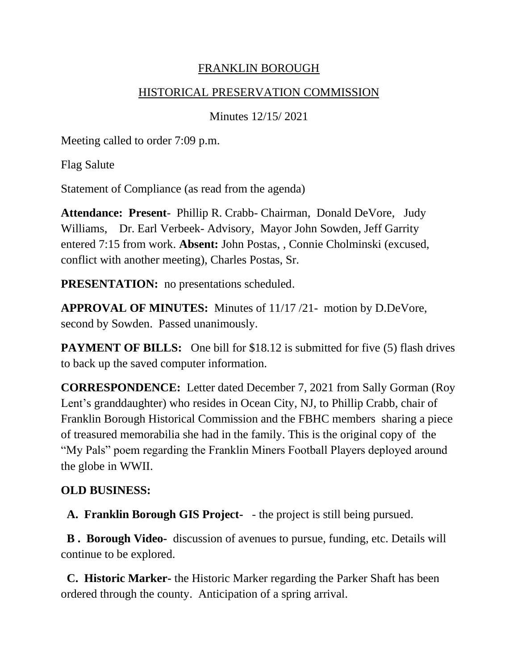### FRANKLIN BOROUGH

#### HISTORICAL PRESERVATION COMMISSION

Minutes 12/15/ 2021

Meeting called to order 7:09 p.m.

Flag Salute

Statement of Compliance (as read from the agenda)

**Attendance: Present**- Phillip R. Crabb- Chairman, Donald DeVore, Judy Williams, Dr. Earl Verbeek- Advisory, Mayor John Sowden, Jeff Garrity entered 7:15 from work. **Absent:** John Postas, , Connie Cholminski (excused, conflict with another meeting), Charles Postas, Sr.

**PRESENTATION:** no presentations scheduled.

**APPROVAL OF MINUTES:** Minutes of 11/17 /21- motion by D.DeVore, second by Sowden. Passed unanimously.

**PAYMENT OF BILLS:** One bill for \$18.12 is submitted for five (5) flash drives to back up the saved computer information.

**CORRESPONDENCE:** Letter dated December 7, 2021 from Sally Gorman (Roy Lent's granddaughter) who resides in Ocean City, NJ, to Phillip Crabb, chair of Franklin Borough Historical Commission and the FBHC members sharing a piece of treasured memorabilia she had in the family. This is the original copy of the "My Pals" poem regarding the Franklin Miners Football Players deployed around the globe in WWII.

### **OLD BUSINESS:**

**A. Franklin Borough GIS Project-** - the project is still being pursued.

**B . Borough Video-** discussion of avenues to pursue, funding, etc. Details will continue to be explored.

 **C. Historic Marker-** the Historic Marker regarding the Parker Shaft has been ordered through the county. Anticipation of a spring arrival.